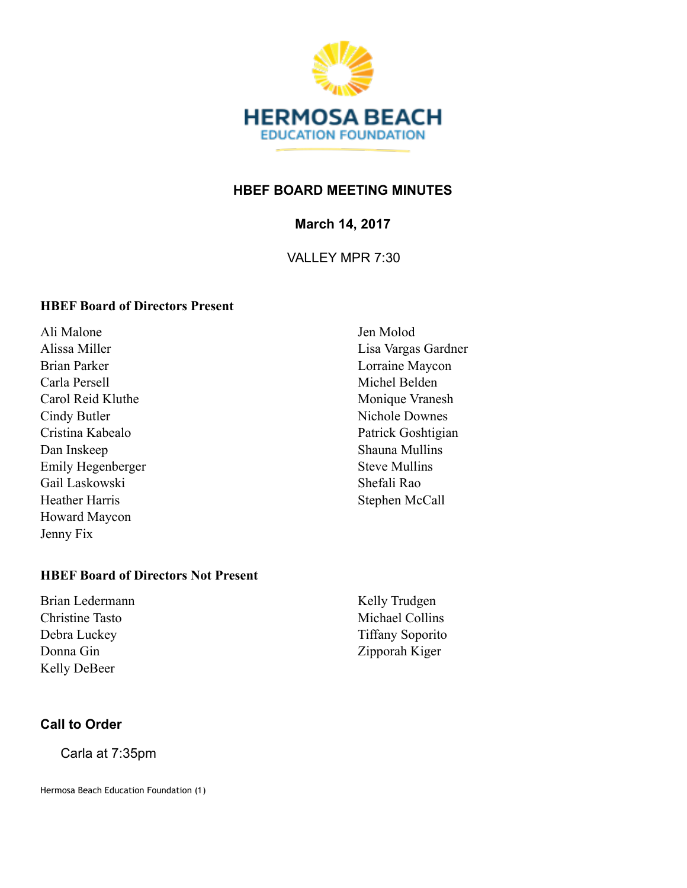

## **HBEF BOARD MEETING MINUTES**

**March 14, 2017** 

VALLEY MPR 7:30

#### **HBEF Board of Directors Present**

Ali Malone Alissa Miller Brian Parker Carla Persell Carol Reid Kluthe Cindy Butler Cristina Kabealo Dan Inskeep Emily Hegenberger Gail Laskowski Heather Harris Howard Maycon Jenny Fix

Jen Molod Lisa Vargas Gardner Lorraine Maycon Michel Belden Monique Vranesh Nichole Downes Patrick Goshtigian Shauna Mullins Steve Mullins Shefali Rao Stephen McCall

### **HBEF Board of Directors Not Present**

Brian Ledermann Christine Tasto Debra Luckey Donna Gin Kelly DeBeer

Kelly Trudgen Michael Collins Tiffany Soporito Zipporah Kiger

#### **Call to Order**

Carla at 7:35pm

Hermosa Beach Education Foundation (1)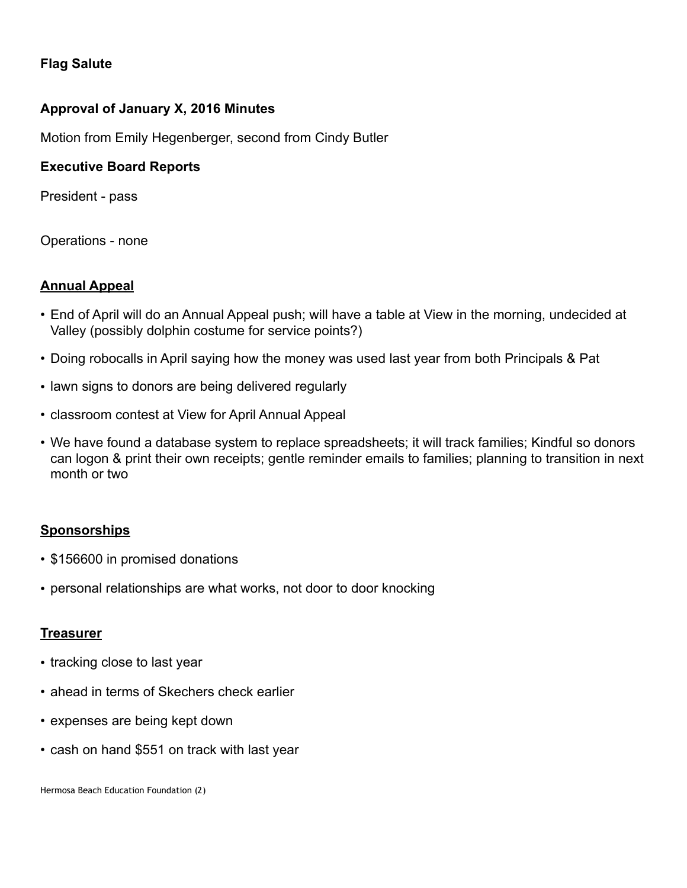## **Flag Salute**

### **Approval of January X, 2016 Minutes**

Motion from Emily Hegenberger, second from Cindy Butler

#### **Executive Board Reports**

President - pass

Operations - none

#### **Annual Appeal**

- End of April will do an Annual Appeal push; will have a table at View in the morning, undecided at Valley (possibly dolphin costume for service points?)
- Doing robocalls in April saying how the money was used last year from both Principals & Pat
- lawn signs to donors are being delivered regularly
- classroom contest at View for April Annual Appeal
- We have found a database system to replace spreadsheets; it will track families; Kindful so donors can logon & print their own receipts; gentle reminder emails to families; planning to transition in next month or two

#### **Sponsorships**

- \$156600 in promised donations
- personal relationships are what works, not door to door knocking

#### **Treasurer**

- tracking close to last year
- ahead in terms of Skechers check earlier
- expenses are being kept down
- cash on hand \$551 on track with last year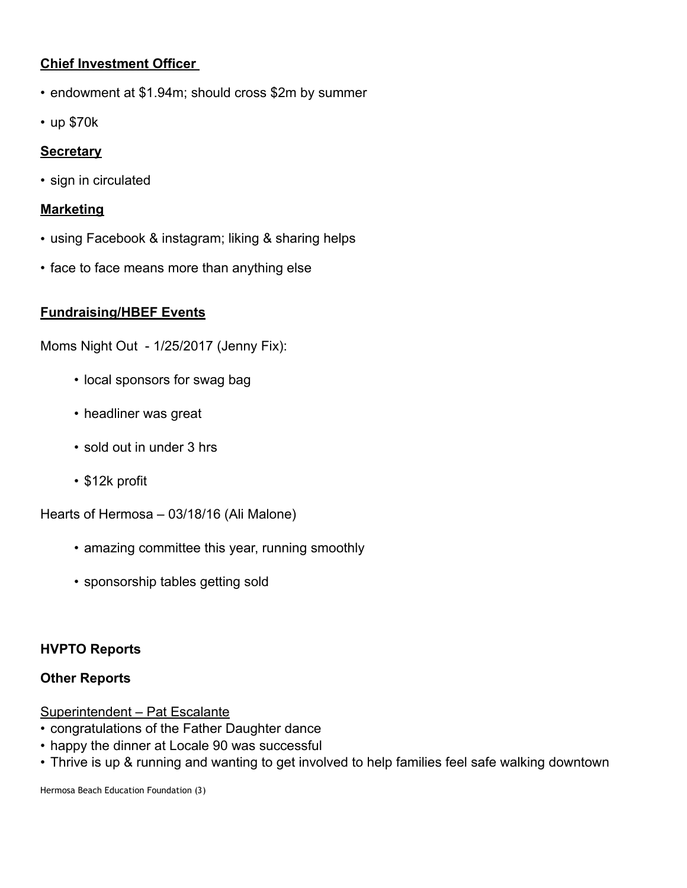# **Chief Investment Officer**

- endowment at \$1.94m; should cross \$2m by summer
- up \$70k

## **Secretary**

• sign in circulated

#### **Marketing**

- using Facebook & instagram; liking & sharing helps
- face to face means more than anything else

## **Fundraising/HBEF Events**

Moms Night Out - 1/25/2017 (Jenny Fix):

- local sponsors for swag bag
- headliner was great
- sold out in under 3 hrs
- \$12k profit

Hearts of Hermosa – 03/18/16 (Ali Malone)

- amazing committee this year, running smoothly
- sponsorship tables getting sold

## **HVPTO Reports**

## **Other Reports**

#### Superintendent – Pat Escalante

- congratulations of the Father Daughter dance
- happy the dinner at Locale 90 was successful
- Thrive is up & running and wanting to get involved to help families feel safe walking downtown

Hermosa Beach Education Foundation (3)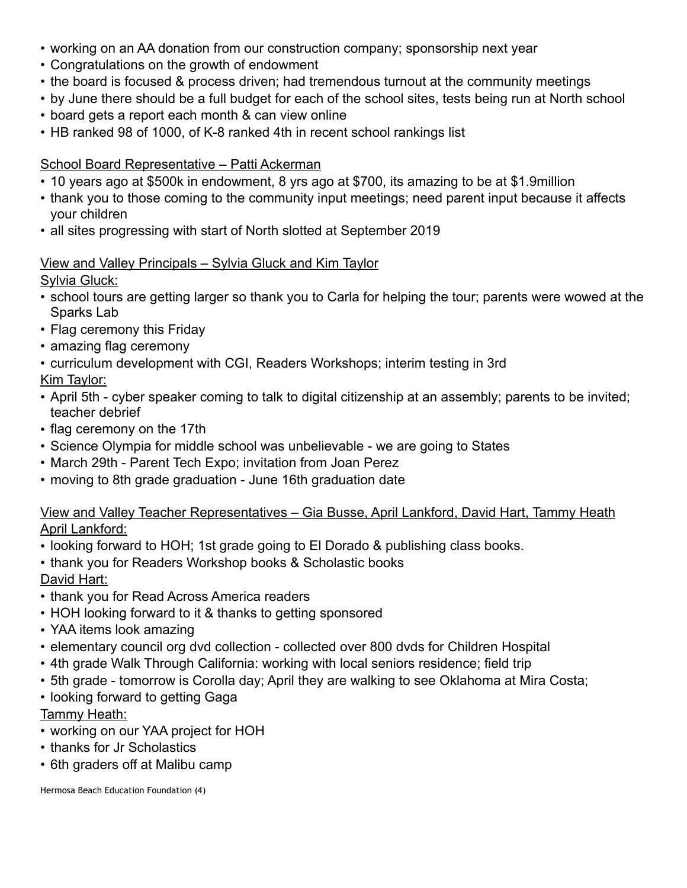- working on an AA donation from our construction company; sponsorship next year
- Congratulations on the growth of endowment
- the board is focused & process driven; had tremendous turnout at the community meetings
- by June there should be a full budget for each of the school sites, tests being run at North school
- board gets a report each month & can view online
- HB ranked 98 of 1000, of K-8 ranked 4th in recent school rankings list

# School Board Representative – Patti Ackerman

- 10 years ago at \$500k in endowment, 8 yrs ago at \$700, its amazing to be at \$1.9million
- thank you to those coming to the community input meetings; need parent input because it affects your children
- all sites progressing with start of North slotted at September 2019

# View and Valley Principals – Sylvia Gluck and Kim Taylor

Sylvia Gluck:

- school tours are getting larger so thank you to Carla for helping the tour; parents were wowed at the Sparks Lab
- Flag ceremony this Friday
- amazing flag ceremony
- curriculum development with CGI, Readers Workshops; interim testing in 3rd

# Kim Taylor:

- April 5th cyber speaker coming to talk to digital citizenship at an assembly; parents to be invited; teacher debrief
- flag ceremony on the 17th
- Science Olympia for middle school was unbelievable we are going to States
- March 29th Parent Tech Expo; invitation from Joan Perez
- moving to 8th grade graduation June 16th graduation date

## View and Valley Teacher Representatives – Gia Busse, April Lankford, David Hart, Tammy Heath April Lankford:

- looking forward to HOH; 1st grade going to El Dorado & publishing class books.
- thank you for Readers Workshop books & Scholastic books David Hart:
- thank you for Read Across America readers
- HOH looking forward to it & thanks to getting sponsored
- YAA items look amazing
- elementary council org dvd collection collected over 800 dvds for Children Hospital
- 4th grade Walk Through California: working with local seniors residence; field trip
- 5th grade tomorrow is Corolla day; April they are walking to see Oklahoma at Mira Costa;
- looking forward to getting Gaga

# Tammy Heath:

- working on our YAA project for HOH
- thanks for Jr Scholastics
- 6th graders off at Malibu camp

Hermosa Beach Education Foundation (4)